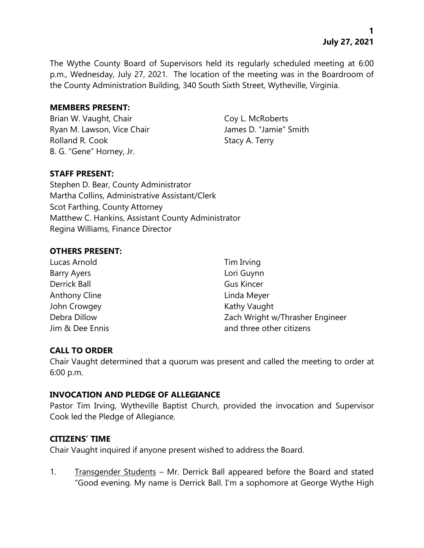**1 July 27, 2021**

The Wythe County Board of Supervisors held its regularly scheduled meeting at 6:00 p.m., Wednesday, July 27, 2021. The location of the meeting was in the Boardroom of the County Administration Building, 340 South Sixth Street, Wytheville, Virginia.

### **MEMBERS PRESENT:**

Brian W. Vaught, Chair Coy L. McRoberts Ryan M. Lawson, Vice Chair **James D. "Jamie"** Smith Rolland R. Cook Stacy A. Terry B. G. "Gene" Horney, Jr.

# **STAFF PRESENT:**

Stephen D. Bear, County Administrator Martha Collins, Administrative Assistant/Clerk Scot Farthing, County Attorney Matthew C. Hankins, Assistant County Administrator Regina Williams, Finance Director

### **OTHERS PRESENT:**

| Tim Irving                      |
|---------------------------------|
| Lori Guynn                      |
| <b>Gus Kincer</b>               |
| Linda Meyer                     |
| Kathy Vaught                    |
| Zach Wright w/Thrasher Engineer |
| and three other citizens        |
|                                 |

### **CALL TO ORDER**

Chair Vaught determined that a quorum was present and called the meeting to order at 6:00 p.m.

### **INVOCATION AND PLEDGE OF ALLEGIANCE**

Pastor Tim Irving, Wytheville Baptist Church, provided the invocation and Supervisor Cook led the Pledge of Allegiance.

### **CITIZENS' TIME**

Chair Vaught inquired if anyone present wished to address the Board.

1. Transgender Students – Mr. Derrick Ball appeared before the Board and stated "Good evening. My name is Derrick Ball. I'm a sophomore at George Wythe High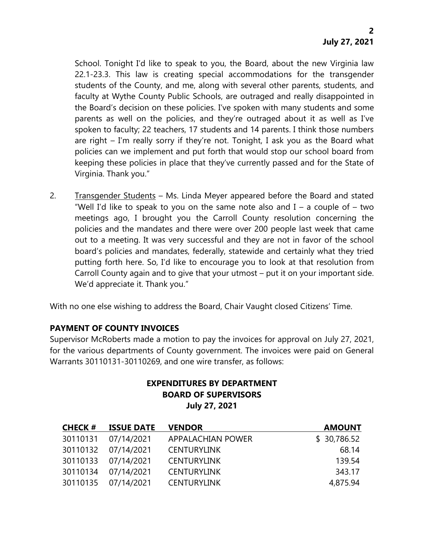School. Tonight I'd like to speak to you, the Board, about the new Virginia law 22.1-23.3. This law is creating special accommodations for the transgender students of the County, and me, along with several other parents, students, and faculty at Wythe County Public Schools, are outraged and really disappointed in the Board's decision on these policies. I've spoken with many students and some parents as well on the policies, and they're outraged about it as well as I've spoken to faculty; 22 teachers, 17 students and 14 parents. I think those numbers are right – I'm really sorry if they're not. Tonight, I ask you as the Board what policies can we implement and put forth that would stop our school board from keeping these policies in place that they've currently passed and for the State of Virginia. Thank you."

2. Transgender Students – Ms. Linda Meyer appeared before the Board and stated "Well I'd like to speak to you on the same note also and  $I - a$  couple of  $-$  two meetings ago, I brought you the Carroll County resolution concerning the policies and the mandates and there were over 200 people last week that came out to a meeting. It was very successful and they are not in favor of the school board's policies and mandates, federally, statewide and certainly what they tried putting forth here. So, I'd like to encourage you to look at that resolution from Carroll County again and to give that your utmost – put it on your important side. We'd appreciate it. Thank you."

With no one else wishing to address the Board, Chair Vaught closed Citizens' Time.

# **PAYMENT OF COUNTY INVOICES**

Supervisor McRoberts made a motion to pay the invoices for approval on July 27, 2021, for the various departments of County government. The invoices were paid on General Warrants 30110131-30110269, and one wire transfer, as follows:

# **EXPENDITURES BY DEPARTMENT BOARD OF SUPERVISORS July 27, 2021**

| <b>CHECK #</b> | <b>ISSUE DATE</b>   | <b>VENDOR</b>      | <b>AMOUNT</b> |
|----------------|---------------------|--------------------|---------------|
| 30110131       | 07/14/2021          | APPALACHIAN POWER  | \$30,786.52   |
|                | 30110132 07/14/2021 | <b>CENTURYLINK</b> | 68.14         |
|                | 30110133 07/14/2021 | <b>CENTURYLINK</b> | 139.54        |
|                | 30110134 07/14/2021 | <b>CENTURYLINK</b> | 343.17        |
|                | 30110135 07/14/2021 | <b>CENTURYLINK</b> | 4,875.94      |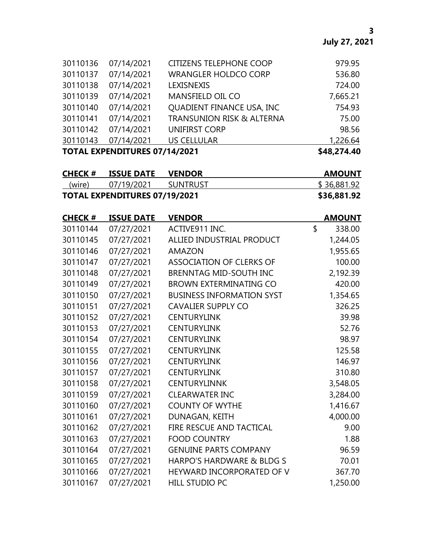|          | FVBFLIBITURES 87/4/10884 |                                      | $+10.271.18$ |
|----------|--------------------------|--------------------------------------|--------------|
| 30110143 | 07/14/2021               | <b>US CELLULAR</b>                   | 1,226.64     |
| 30110142 | 07/14/2021               | <b>UNIFIRST CORP</b>                 | 98.56        |
| 30110141 | 07/14/2021               | <b>TRANSUNION RISK &amp; ALTERNA</b> | 75.00        |
| 30110140 | 07/14/2021               | QUADIENT FINANCE USA, INC            | 754.93       |
| 30110139 | 07/14/2021               | MANSFIELD OIL CO                     | 7,665.21     |
| 30110138 | 07/14/2021               | <b>LEXISNEXIS</b>                    | 724.00       |
| 30110137 | 07/14/2021               | <b>WRANGLER HOLDCO CORP</b>          | 536.80       |
| 30110136 | 07/14/2021               | <b>CITIZENS TELEPHONE COOP</b>       | 979.95       |

**TOTAL EXPENDITURES 07/14/2021 \$48,274.40**

| <b>CHECK #</b> | <b>ISSUE DATE</b>                    | <b>VENDOR</b> | <b>AMOUNT</b> |
|----------------|--------------------------------------|---------------|---------------|
| (wire)         | 07/19/2021                           | SUNTRUST      | \$36,881.92   |
|                | <b>TOTAL EXPENDITURES 07/19/2021</b> |               | \$36,881.92   |

| <b>CHECK#</b> | <b>ISSUE DATE</b> | <b>VENDOR</b>                    | <b>AMOUNT</b> |
|---------------|-------------------|----------------------------------|---------------|
| 30110144      | 07/27/2021        | ACTIVE911 INC.                   | \$<br>338.00  |
| 30110145      | 07/27/2021        | ALLIED INDUSTRIAL PRODUCT        | 1,244.05      |
| 30110146      | 07/27/2021        | <b>AMAZON</b>                    | 1,955.65      |
| 30110147      | 07/27/2021        | <b>ASSOCIATION OF CLERKS OF</b>  | 100.00        |
| 30110148      | 07/27/2021        | BRENNTAG MID-SOUTH INC           | 2,192.39      |
| 30110149      | 07/27/2021        | <b>BROWN EXTERMINATING CO</b>    | 420.00        |
| 30110150      | 07/27/2021        | <b>BUSINESS INFORMATION SYST</b> | 1,354.65      |
| 30110151      | 07/27/2021        | <b>CAVALIER SUPPLY CO</b>        | 326.25        |
| 30110152      | 07/27/2021        | <b>CENTURYLINK</b>               | 39.98         |
| 30110153      | 07/27/2021        | <b>CENTURYLINK</b>               | 52.76         |
| 30110154      | 07/27/2021        | <b>CENTURYLINK</b>               | 98.97         |
| 30110155      | 07/27/2021        | <b>CENTURYLINK</b>               | 125.58        |
| 30110156      | 07/27/2021        | <b>CENTURYLINK</b>               | 146.97        |
| 30110157      | 07/27/2021        | <b>CENTURYLINK</b>               | 310.80        |
| 30110158      | 07/27/2021        | <b>CENTURYLINNK</b>              | 3,548.05      |
| 30110159      | 07/27/2021        | <b>CLEARWATER INC</b>            | 3,284.00      |
| 30110160      | 07/27/2021        | <b>COUNTY OF WYTHE</b>           | 1,416.67      |
| 30110161      | 07/27/2021        | DUNAGAN, KEITH                   | 4,000.00      |
| 30110162      | 07/27/2021        | FIRE RESCUE AND TACTICAL         | 9.00          |
| 30110163      | 07/27/2021        | <b>FOOD COUNTRY</b>              | 1.88          |
| 30110164      | 07/27/2021        | <b>GENUINE PARTS COMPANY</b>     | 96.59         |
| 30110165      | 07/27/2021        | HARPO'S HARDWARE & BLDG S        | 70.01         |
| 30110166      | 07/27/2021        | HEYWARD INCORPORATED OF V        | 367.70        |
| 30110167      | 07/27/2021        | <b>HILL STUDIO PC</b>            | 1,250.00      |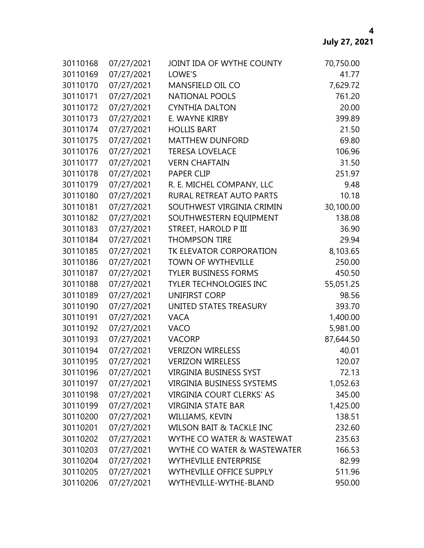| 30110168 | 07/27/2021 | JOINT IDA OF WYTHE COUNTY           | 70,750.00 |
|----------|------------|-------------------------------------|-----------|
| 30110169 | 07/27/2021 | LOWE'S                              | 41.77     |
| 30110170 | 07/27/2021 | MANSFIELD OIL CO                    | 7,629.72  |
| 30110171 | 07/27/2021 | <b>NATIONAL POOLS</b>               | 761.20    |
| 30110172 | 07/27/2021 | <b>CYNTHIA DALTON</b>               | 20.00     |
| 30110173 | 07/27/2021 | E. WAYNE KIRBY                      | 399.89    |
| 30110174 | 07/27/2021 | <b>HOLLIS BART</b>                  | 21.50     |
| 30110175 | 07/27/2021 | <b>MATTHEW DUNFORD</b>              | 69.80     |
| 30110176 | 07/27/2021 | <b>TERESA LOVELACE</b>              | 106.96    |
| 30110177 | 07/27/2021 | <b>VERN CHAFTAIN</b>                | 31.50     |
| 30110178 | 07/27/2021 | <b>PAPER CLIP</b>                   | 251.97    |
| 30110179 | 07/27/2021 | R. E. MICHEL COMPANY, LLC           | 9.48      |
| 30110180 | 07/27/2021 | RURAL RETREAT AUTO PARTS            | 10.18     |
| 30110181 | 07/27/2021 | SOUTHWEST VIRGINIA CRIMIN           | 30,100.00 |
| 30110182 | 07/27/2021 | SOUTHWESTERN EQUIPMENT              | 138.08    |
| 30110183 | 07/27/2021 | <b>STREET, HAROLD P III</b>         | 36.90     |
| 30110184 | 07/27/2021 | <b>THOMPSON TIRE</b>                | 29.94     |
| 30110185 | 07/27/2021 | TK ELEVATOR CORPORATION             | 8,103.65  |
| 30110186 | 07/27/2021 | <b>TOWN OF WYTHEVILLE</b>           | 250.00    |
| 30110187 | 07/27/2021 | <b>TYLER BUSINESS FORMS</b>         | 450.50    |
| 30110188 | 07/27/2021 | <b>TYLER TECHNOLOGIES INC</b>       | 55,051.25 |
| 30110189 | 07/27/2021 | <b>UNIFIRST CORP</b>                | 98.56     |
| 30110190 | 07/27/2021 | UNITED STATES TREASURY              | 393.70    |
| 30110191 | 07/27/2021 | <b>VACA</b>                         | 1,400.00  |
| 30110192 | 07/27/2021 | <b>VACO</b>                         | 5,981.00  |
| 30110193 | 07/27/2021 | <b>VACORP</b>                       | 87,644.50 |
| 30110194 | 07/27/2021 | <b>VERIZON WIRELESS</b>             | 40.01     |
| 30110195 | 07/27/2021 | <b>VERIZON WIRELESS</b>             | 120.07    |
| 30110196 | 07/27/2021 | <b>VIRGINIA BUSINESS SYST</b>       | 72.13     |
| 30110197 | 07/27/2021 | <b>VIRGINIA BUSINESS SYSTEMS</b>    | 1,052.63  |
| 30110198 | 07/27/2021 | VIRGINIA COURT CLERKS' AS           | 345.00    |
| 30110199 | 07/27/2021 | <b>VIRGINIA STATE BAR</b>           | 1,425.00  |
| 30110200 | 07/27/2021 | WILLIAMS, KEVIN                     | 138.51    |
| 30110201 | 07/27/2021 | <b>WILSON BAIT &amp; TACKLE INC</b> | 232.60    |
| 30110202 | 07/27/2021 | WYTHE CO WATER & WASTEWAT           | 235.63    |
| 30110203 | 07/27/2021 | WYTHE CO WATER & WASTEWATER         | 166.53    |
| 30110204 | 07/27/2021 | <b>WYTHEVILLE ENTERPRISE</b>        | 82.99     |
| 30110205 | 07/27/2021 | <b>WYTHEVILLE OFFICE SUPPLY</b>     | 511.96    |
| 30110206 | 07/27/2021 | WYTHEVILLE-WYTHE-BLAND              | 950.00    |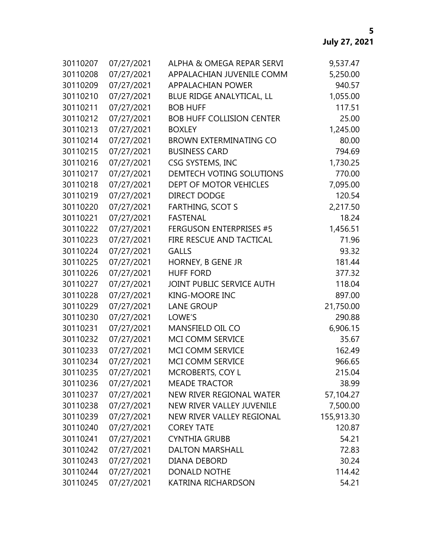| 30110207 | 07/27/2021 | ALPHA & OMEGA REPAR SERVI        | 9,537.47   |
|----------|------------|----------------------------------|------------|
| 30110208 | 07/27/2021 | APPALACHIAN JUVENILE COMM        | 5,250.00   |
| 30110209 | 07/27/2021 | <b>APPALACHIAN POWER</b>         | 940.57     |
| 30110210 | 07/27/2021 | BLUE RIDGE ANALYTICAL, LL        | 1,055.00   |
| 30110211 | 07/27/2021 | <b>BOB HUFF</b>                  | 117.51     |
| 30110212 | 07/27/2021 | <b>BOB HUFF COLLISION CENTER</b> | 25.00      |
| 30110213 | 07/27/2021 | <b>BOXLEY</b>                    | 1,245.00   |
| 30110214 | 07/27/2021 | <b>BROWN EXTERMINATING CO</b>    | 80.00      |
| 30110215 | 07/27/2021 | <b>BUSINESS CARD</b>             | 794.69     |
| 30110216 | 07/27/2021 | CSG SYSTEMS, INC                 | 1,730.25   |
| 30110217 | 07/27/2021 | DEMTECH VOTING SOLUTIONS         | 770.00     |
| 30110218 | 07/27/2021 | DEPT OF MOTOR VEHICLES           | 7,095.00   |
| 30110219 | 07/27/2021 | <b>DIRECT DODGE</b>              | 120.54     |
| 30110220 | 07/27/2021 | <b>FARTHING, SCOT S</b>          | 2,217.50   |
| 30110221 | 07/27/2021 | <b>FASTENAL</b>                  | 18.24      |
| 30110222 | 07/27/2021 | <b>FERGUSON ENTERPRISES #5</b>   | 1,456.51   |
| 30110223 | 07/27/2021 | FIRE RESCUE AND TACTICAL         | 71.96      |
| 30110224 | 07/27/2021 | <b>GALLS</b>                     | 93.32      |
| 30110225 | 07/27/2021 | HORNEY, B GENE JR                | 181.44     |
| 30110226 | 07/27/2021 | <b>HUFF FORD</b>                 | 377.32     |
| 30110227 | 07/27/2021 | JOINT PUBLIC SERVICE AUTH        | 118.04     |
| 30110228 | 07/27/2021 | <b>KING-MOORE INC</b>            | 897.00     |
| 30110229 | 07/27/2021 | <b>LANE GROUP</b>                | 21,750.00  |
| 30110230 | 07/27/2021 | LOWE'S                           | 290.88     |
| 30110231 | 07/27/2021 | <b>MANSFIELD OIL CO</b>          | 6,906.15   |
| 30110232 | 07/27/2021 | MCI COMM SERVICE                 | 35.67      |
| 30110233 | 07/27/2021 | MCI COMM SERVICE                 | 162.49     |
| 30110234 | 07/27/2021 | MCI COMM SERVICE                 | 966.65     |
| 30110235 | 07/27/2021 | <b>MCROBERTS, COY L</b>          | 215.04     |
| 30110236 | 07/27/2021 | <b>MEADE TRACTOR</b>             | 38.99      |
| 30110237 | 07/27/2021 | NEW RIVER REGIONAL WATER         | 57,104.27  |
| 30110238 | 07/27/2021 | NEW RIVER VALLEY JUVENILE        | 7,500.00   |
| 30110239 | 07/27/2021 | NEW RIVER VALLEY REGIONAL        | 155,913.30 |
| 30110240 | 07/27/2021 | <b>COREY TATE</b>                | 120.87     |
| 30110241 | 07/27/2021 | <b>CYNTHIA GRUBB</b>             | 54.21      |
| 30110242 | 07/27/2021 | <b>DALTON MARSHALL</b>           | 72.83      |
| 30110243 | 07/27/2021 | <b>DIANA DEBORD</b>              | 30.24      |
| 30110244 | 07/27/2021 | <b>DONALD NOTHE</b>              | 114.42     |
| 30110245 | 07/27/2021 | KATRINA RICHARDSON               | 54.21      |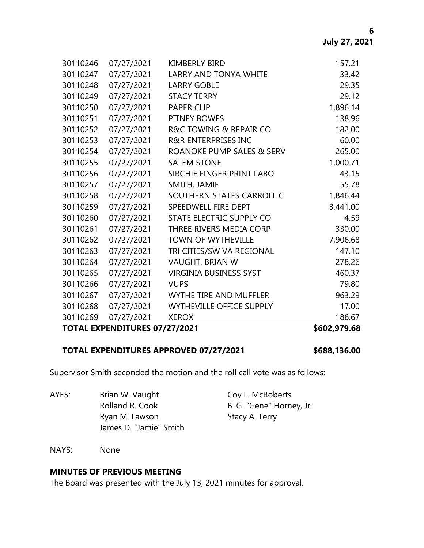|          | <b>TOTAL EXPENDITURES 07/27/2021</b> |                                 | \$602,979.68 |
|----------|--------------------------------------|---------------------------------|--------------|
| 30110269 | 07/27/2021                           | <b>XEROX</b>                    | 186.67       |
| 30110268 | 07/27/2021                           | <b>WYTHEVILLE OFFICE SUPPLY</b> | 17.00        |
| 30110267 | 07/27/2021                           | <b>WYTHE TIRE AND MUFFLER</b>   | 963.29       |
| 30110266 | 07/27/2021                           | <b>VUPS</b>                     | 79.80        |
| 30110265 | 07/27/2021                           | <b>VIRGINIA BUSINESS SYST</b>   | 460.37       |
| 30110264 | 07/27/2021                           | VAUGHT, BRIAN W                 | 278.26       |
| 30110263 | 07/27/2021                           | TRI CITIES/SW VA REGIONAL       | 147.10       |
| 30110262 | 07/27/2021                           | <b>TOWN OF WYTHEVILLE</b>       | 7,906.68     |
| 30110261 | 07/27/2021                           | THREE RIVERS MEDIA CORP         | 330.00       |
| 30110260 | 07/27/2021                           | STATE ELECTRIC SUPPLY CO        | 4.59         |
| 30110259 | 07/27/2021                           | SPEEDWELL FIRE DEPT             | 3,441.00     |
| 30110258 | 07/27/2021                           | SOUTHERN STATES CARROLL C       | 1,846.44     |
| 30110257 | 07/27/2021                           | SMITH, JAMIE                    | 55.78        |
| 30110256 | 07/27/2021                           | SIRCHIE FINGER PRINT LABO       | 43.15        |
| 30110255 | 07/27/2021                           | <b>SALEM STONE</b>              | 1,000.71     |
| 30110254 | 07/27/2021                           | ROANOKE PUMP SALES & SERV       | 265.00       |
| 30110253 | 07/27/2021                           | <b>R&amp;R ENTERPRISES INC</b>  | 60.00        |
| 30110252 | 07/27/2021                           | R&C TOWING & REPAIR CO          | 182.00       |
| 30110251 | 07/27/2021                           | PITNEY BOWES                    | 138.96       |
| 30110250 | 07/27/2021                           | <b>PAPER CLIP</b>               | 1,896.14     |
| 30110249 | 07/27/2021                           | <b>STACY TERRY</b>              | 29.12        |
| 30110248 | 07/27/2021                           | <b>LARRY GOBLE</b>              | 29.35        |
| 30110247 | 07/27/2021                           | <b>LARRY AND TONYA WHITE</b>    | 33.42        |
| 30110246 | 07/27/2021                           | <b>KIMBERLY BIRD</b>            | 157.21       |

### **TOTAL EXPENDITURES APPROVED 07/27/2021 \$688,136.00**

Supervisor Smith seconded the motion and the roll call vote was as follows:

AYES: Brian W. Vaught Coy L. McRoberts Rolland R. Cook B. G. "Gene" Horney, Jr. Ryan M. Lawson Stacy A. Terry James D. "Jamie" Smith

NAYS: None

# **MINUTES OF PREVIOUS MEETING**

The Board was presented with the July 13, 2021 minutes for approval.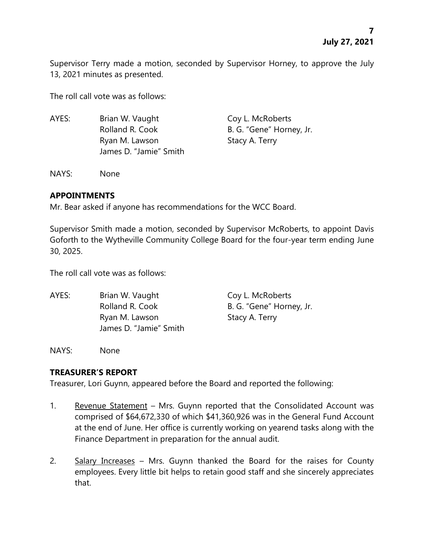Supervisor Terry made a motion, seconded by Supervisor Horney, to approve the July 13, 2021 minutes as presented.

The roll call vote was as follows:

AYES: Brian W. Vaught Coy L. McRoberts Rolland R. Cook B. G. "Gene" Horney, Jr. Ryan M. Lawson Stacy A. Terry James D. "Jamie" Smith

NAYS: None

# **APPOINTMENTS**

Mr. Bear asked if anyone has recommendations for the WCC Board.

Supervisor Smith made a motion, seconded by Supervisor McRoberts, to appoint Davis Goforth to the Wytheville Community College Board for the four-year term ending June 30, 2025.

The roll call vote was as follows:

AYES: Brian W. Vaught Coy L. McRoberts Rolland R. Cook B. G. "Gene" Horney, Jr. Ryan M. Lawson Stacy A. Terry James D. "Jamie" Smith

NAYS: None

# **TREASURER'S REPORT**

Treasurer, Lori Guynn, appeared before the Board and reported the following:

- 1. Revenue Statement Mrs. Guynn reported that the Consolidated Account was comprised of \$64,672,330 of which \$41,360,926 was in the General Fund Account at the end of June. Her office is currently working on yearend tasks along with the Finance Department in preparation for the annual audit.
- 2. Salary Increases Mrs. Guynn thanked the Board for the raises for County employees. Every little bit helps to retain good staff and she sincerely appreciates that.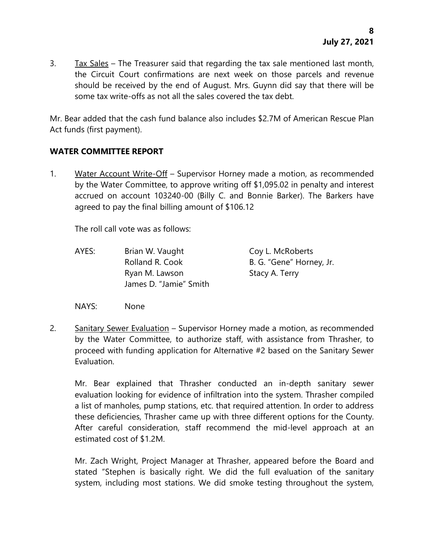3. Tax Sales – The Treasurer said that regarding the tax sale mentioned last month, the Circuit Court confirmations are next week on those parcels and revenue should be received by the end of August. Mrs. Guynn did say that there will be some tax write-offs as not all the sales covered the tax debt.

Mr. Bear added that the cash fund balance also includes \$2.7M of American Rescue Plan Act funds (first payment).

# **WATER COMMITTEE REPORT**

1. Water Account Write-Off – Supervisor Horney made a motion, as recommended by the Water Committee, to approve writing off \$1,095.02 in penalty and interest accrued on account 103240-00 (Billy C. and Bonnie Barker). The Barkers have agreed to pay the final billing amount of \$106.12

The roll call vote was as follows:

AYES: Brian W. Vaught Coy L. McRoberts Rolland R. Cook B. G. "Gene" Horney, Jr. Ryan M. Lawson Stacy A. Terry James D. "Jamie" Smith

NAYS: None

2. Sanitary Sewer Evaluation – Supervisor Horney made a motion, as recommended by the Water Committee, to authorize staff, with assistance from Thrasher, to proceed with funding application for Alternative #2 based on the Sanitary Sewer Evaluation.

Mr. Bear explained that Thrasher conducted an in-depth sanitary sewer evaluation looking for evidence of infiltration into the system. Thrasher compiled a list of manholes, pump stations, etc. that required attention. In order to address these deficiencies, Thrasher came up with three different options for the County. After careful consideration, staff recommend the mid-level approach at an estimated cost of \$1.2M.

Mr. Zach Wright, Project Manager at Thrasher, appeared before the Board and stated "Stephen is basically right. We did the full evaluation of the sanitary system, including most stations. We did smoke testing throughout the system,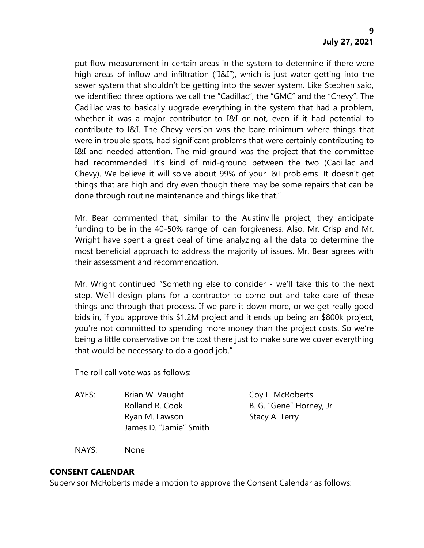put flow measurement in certain areas in the system to determine if there were high areas of inflow and infiltration ("I&I"), which is just water getting into the sewer system that shouldn't be getting into the sewer system. Like Stephen said, we identified three options we call the "Cadillac", the "GMC" and the "Chevy". The Cadillac was to basically upgrade everything in the system that had a problem, whether it was a major contributor to I&I or not, even if it had potential to contribute to I&I. The Chevy version was the bare minimum where things that were in trouble spots, had significant problems that were certainly contributing to I&I and needed attention. The mid-ground was the project that the committee had recommended. It's kind of mid-ground between the two (Cadillac and Chevy). We believe it will solve about 99% of your I&I problems. It doesn't get things that are high and dry even though there may be some repairs that can be done through routine maintenance and things like that."

Mr. Bear commented that, similar to the Austinville project, they anticipate funding to be in the 40-50% range of loan forgiveness. Also, Mr. Crisp and Mr. Wright have spent a great deal of time analyzing all the data to determine the most beneficial approach to address the majority of issues. Mr. Bear agrees with their assessment and recommendation.

Mr. Wright continued "Something else to consider - we'll take this to the next step. We'll design plans for a contractor to come out and take care of these things and through that process. If we pare it down more, or we get really good bids in, if you approve this \$1.2M project and it ends up being an \$800k project, you're not committed to spending more money than the project costs. So we're being a little conservative on the cost there just to make sure we cover everything that would be necessary to do a good job."

The roll call vote was as follows:

AYES: Brian W. Vaught Coy L. McRoberts Rolland R. Cook B. G. "Gene" Horney, Jr. Ryan M. Lawson Stacy A. Terry James D. "Jamie" Smith

NAYS: None

# **CONSENT CALENDAR**

Supervisor McRoberts made a motion to approve the Consent Calendar as follows: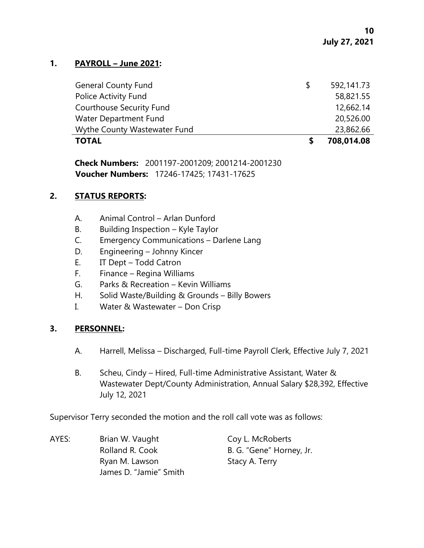### **1. PAYROLL – June 2021:**

| <b>TOTAL</b>                    |               | 708,014.08 |
|---------------------------------|---------------|------------|
| Wythe County Wastewater Fund    |               | 23,862.66  |
| Water Department Fund           |               | 20,526.00  |
| <b>Courthouse Security Fund</b> |               | 12,662.14  |
| Police Activity Fund            |               | 58,821.55  |
| <b>General County Fund</b>      | <sup>\$</sup> | 592,141.73 |

**Check Numbers:** 2001197-2001209; 2001214-2001230 **Voucher Numbers:** 17246-17425; 17431-17625

### **2. STATUS REPORTS:**

- A. Animal Control Arlan Dunford
- B. Building Inspection Kyle Taylor
- C. Emergency Communications Darlene Lang
- D. Engineering Johnny Kincer
- E. IT Dept Todd Catron
- F. Finance Regina Williams
- G. Parks & Recreation Kevin Williams
- H. Solid Waste/Building & Grounds Billy Bowers
- I. Water & Wastewater Don Crisp

# **3. PERSONNEL:**

- A. Harrell, Melissa Discharged, Full-time Payroll Clerk, Effective July 7, 2021
- B. Scheu, Cindy Hired, Full-time Administrative Assistant, Water & Wastewater Dept/County Administration, Annual Salary \$28,392, Effective July 12, 2021

Supervisor Terry seconded the motion and the roll call vote was as follows:

AYES: Brian W. Vaught Coy L. McRoberts Rolland R. Cook B. G. "Gene" Horney, Jr. Ryan M. Lawson Stacy A. Terry James D. "Jamie" Smith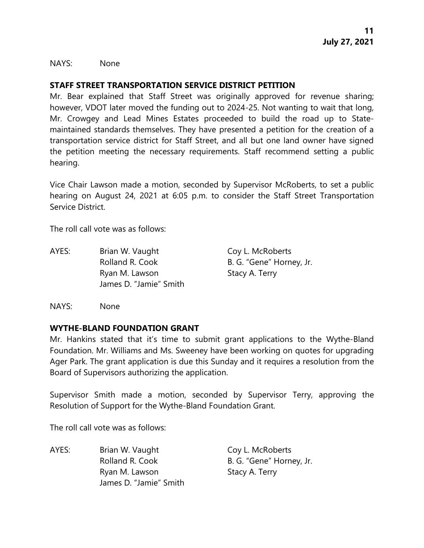NAYS: None

### **STAFF STREET TRANSPORTATION SERVICE DISTRICT PETITION**

Mr. Bear explained that Staff Street was originally approved for revenue sharing; however, VDOT later moved the funding out to 2024-25. Not wanting to wait that long, Mr. Crowgey and Lead Mines Estates proceeded to build the road up to Statemaintained standards themselves. They have presented a petition for the creation of a transportation service district for Staff Street, and all but one land owner have signed the petition meeting the necessary requirements. Staff recommend setting a public hearing.

Vice Chair Lawson made a motion, seconded by Supervisor McRoberts, to set a public hearing on August 24, 2021 at 6:05 p.m. to consider the Staff Street Transportation Service District.

The roll call vote was as follows:

AYES: Brian W. Vaught Coy L. McRoberts Rolland R. Cook B. G. "Gene" Horney, Jr. Ryan M. Lawson Stacy A. Terry James D. "Jamie" Smith

NAYS: None

### **WYTHE-BLAND FOUNDATION GRANT**

Mr. Hankins stated that it's time to submit grant applications to the Wythe-Bland Foundation. Mr. Williams and Ms. Sweeney have been working on quotes for upgrading Ager Park. The grant application is due this Sunday and it requires a resolution from the Board of Supervisors authorizing the application.

Supervisor Smith made a motion, seconded by Supervisor Terry, approving the Resolution of Support for the Wythe-Bland Foundation Grant.

The roll call vote was as follows:

AYES: Brian W. Vaught Coy L. McRoberts Rolland R. Cook B. G. "Gene" Horney, Jr. Ryan M. Lawson Stacy A. Terry James D. "Jamie" Smith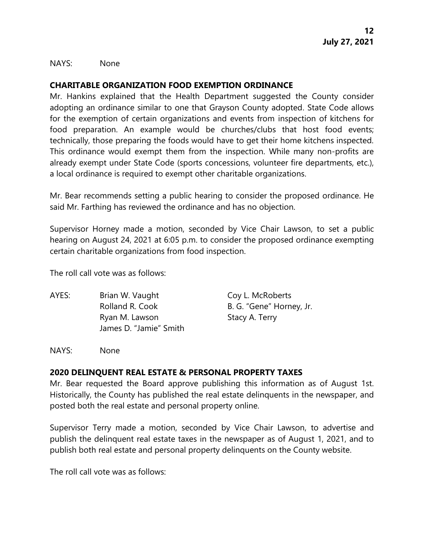NAYS: None

# **CHARITABLE ORGANIZATION FOOD EXEMPTION ORDINANCE**

Mr. Hankins explained that the Health Department suggested the County consider adopting an ordinance similar to one that Grayson County adopted. State Code allows for the exemption of certain organizations and events from inspection of kitchens for food preparation. An example would be churches/clubs that host food events; technically, those preparing the foods would have to get their home kitchens inspected. This ordinance would exempt them from the inspection. While many non-profits are already exempt under State Code (sports concessions, volunteer fire departments, etc.), a local ordinance is required to exempt other charitable organizations.

Mr. Bear recommends setting a public hearing to consider the proposed ordinance. He said Mr. Farthing has reviewed the ordinance and has no objection.

Supervisor Horney made a motion, seconded by Vice Chair Lawson, to set a public hearing on August 24, 2021 at 6:05 p.m. to consider the proposed ordinance exempting certain charitable organizations from food inspection.

The roll call vote was as follows:

AYES: Brian W. Vaught Coy L. McRoberts Rolland R. Cook B. G. "Gene" Horney, Jr. Ryan M. Lawson Stacy A. Terry James D. "Jamie" Smith

NAYS: None

### **2020 DELINQUENT REAL ESTATE & PERSONAL PROPERTY TAXES**

Mr. Bear requested the Board approve publishing this information as of August 1st. Historically, the County has published the real estate delinquents in the newspaper, and posted both the real estate and personal property online.

Supervisor Terry made a motion, seconded by Vice Chair Lawson, to advertise and publish the delinquent real estate taxes in the newspaper as of August 1, 2021, and to publish both real estate and personal property delinquents on the County website.

The roll call vote was as follows: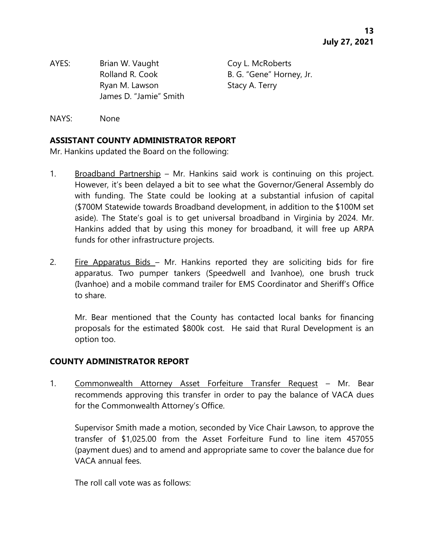AYES: Brian W. Vaught Coy L. McRoberts Rolland R. Cook B. G. "Gene" Horney, Jr. Ryan M. Lawson Stacy A. Terry James D. "Jamie" Smith

NAYS: None

# **ASSISTANT COUNTY ADMINISTRATOR REPORT**

Mr. Hankins updated the Board on the following:

- 1. Broadband Partnership Mr. Hankins said work is continuing on this project. However, it's been delayed a bit to see what the Governor/General Assembly do with funding. The State could be looking at a substantial infusion of capital (\$700M Statewide towards Broadband development, in addition to the \$100M set aside). The State's goal is to get universal broadband in Virginia by 2024. Mr. Hankins added that by using this money for broadband, it will free up ARPA funds for other infrastructure projects.
- 2. Fire Apparatus Bids Mr. Hankins reported they are soliciting bids for fire apparatus. Two pumper tankers (Speedwell and Ivanhoe), one brush truck (Ivanhoe) and a mobile command trailer for EMS Coordinator and Sheriff's Office to share.

Mr. Bear mentioned that the County has contacted local banks for financing proposals for the estimated \$800k cost. He said that Rural Development is an option too.

# **COUNTY ADMINISTRATOR REPORT**

1. Commonwealth Attorney Asset Forfeiture Transfer Request - Mr. Bear recommends approving this transfer in order to pay the balance of VACA dues for the Commonwealth Attorney's Office.

Supervisor Smith made a motion, seconded by Vice Chair Lawson, to approve the transfer of \$1,025.00 from the Asset Forfeiture Fund to line item 457055 (payment dues) and to amend and appropriate same to cover the balance due for VACA annual fees.

The roll call vote was as follows: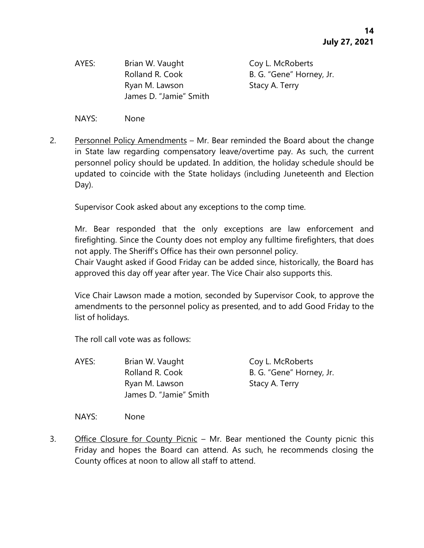AYES: Brian W. Vaught Coy L. McRoberts Ryan M. Lawson Stacy A. Terry James D. "Jamie" Smith

Rolland R. Cook B. G. "Gene" Horney, Jr.

NAYS: None

2. Personnel Policy Amendments – Mr. Bear reminded the Board about the change in State law regarding compensatory leave/overtime pay. As such, the current personnel policy should be updated. In addition, the holiday schedule should be updated to coincide with the State holidays (including Juneteenth and Election Day).

Supervisor Cook asked about any exceptions to the comp time.

Mr. Bear responded that the only exceptions are law enforcement and firefighting. Since the County does not employ any fulltime firefighters, that does not apply. The Sheriff's Office has their own personnel policy.

Chair Vaught asked if Good Friday can be added since, historically, the Board has approved this day off year after year. The Vice Chair also supports this.

Vice Chair Lawson made a motion, seconded by Supervisor Cook, to approve the amendments to the personnel policy as presented, and to add Good Friday to the list of holidays.

The roll call vote was as follows:

AYES: Brian W. Vaught Coy L. McRoberts Rolland R. Cook B. G. "Gene" Horney, Jr. Ryan M. Lawson Stacy A. Terry James D. "Jamie" Smith

NAYS: None

3. Office Closure for County Picnic – Mr. Bear mentioned the County picnic this Friday and hopes the Board can attend. As such, he recommends closing the County offices at noon to allow all staff to attend.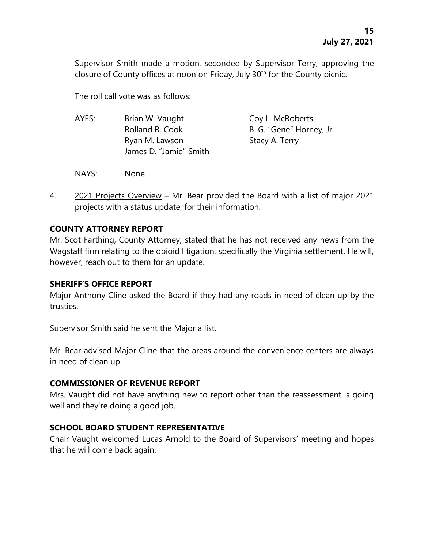Supervisor Smith made a motion, seconded by Supervisor Terry, approving the closure of County offices at noon on Friday, July 30<sup>th</sup> for the County picnic.

The roll call vote was as follows:

| AYES: | Brian W. Vaught        | Coy L. McRoberts         |
|-------|------------------------|--------------------------|
|       | Rolland R. Cook        | B. G. "Gene" Horney, Jr. |
|       | Ryan M. Lawson         | Stacy A. Terry           |
|       | James D. "Jamie" Smith |                          |
|       |                        |                          |

- NAYS: None
- 4. 2021 Projects Overview Mr. Bear provided the Board with a list of major 2021 projects with a status update, for their information.

# **COUNTY ATTORNEY REPORT**

Mr. Scot Farthing, County Attorney, stated that he has not received any news from the Wagstaff firm relating to the opioid litigation, specifically the Virginia settlement. He will, however, reach out to them for an update.

# **SHERIFF'S OFFICE REPORT**

Major Anthony Cline asked the Board if they had any roads in need of clean up by the trusties.

Supervisor Smith said he sent the Major a list.

Mr. Bear advised Major Cline that the areas around the convenience centers are always in need of clean up.

# **COMMISSIONER OF REVENUE REPORT**

Mrs. Vaught did not have anything new to report other than the reassessment is going well and they're doing a good job.

# **SCHOOL BOARD STUDENT REPRESENTATIVE**

Chair Vaught welcomed Lucas Arnold to the Board of Supervisors' meeting and hopes that he will come back again.